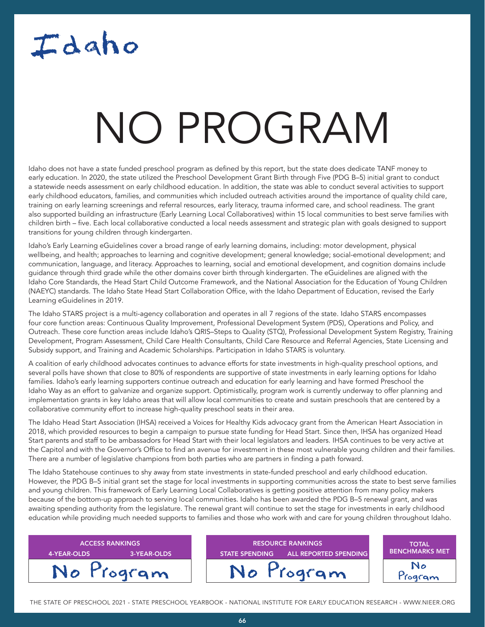## Idaho

### NATA T NO PROGRAM

Idaho does not have a state funded preschool program as defined by this report, but the state does dedicate TANF money to early education. In 2020, the state utilized the Preschool Development Grant Birth through Five (PDG B–5) initial grant to conduct a statewide needs assessment on early childhood education. In addition, the state was able to conduct several activities to support early childhood educators, families, and communities which included outreach activities around the importance of quality child care, training on early learning screenings and referral resources, early literacy, trauma informed care, and school readiness. The grant also supported building an infrastructure (Early Learning Local Collaboratives) within 15 local communities to best serve families with children birth – five. Each local collaborative conducted a local needs assessment and strategic plan with goals designed to support transitions for young children through kindergarten.

Idaho's Early Learning eGuidelines cover a broad range of early learning domains, including: motor development, physical wellbeing, and health; approaches to learning and cognitive development; general knowledge; social-emotional development; and communication, language, and literacy. Approaches to learning, social and emotional development, and cognition domains include guidance through third grade while the other domains cover birth through kindergarten. The eGuidelines are aligned with the Idaho Core Standards, the Head Start Child Outcome Framework, and the National Association for the Education of Young Children (NAEYC) standards. The Idaho State Head Start Collaboration Office, with the Idaho Department of Education, revised the Early Learning eGuidelines in 2019.

The Idaho STARS project is a multi-agency collaboration and operates in all 7 regions of the state. Idaho STARS encompasses four core function areas: Continuous Quality Improvement, Professional Development System (PDS), Operations and Policy, and Outreach. These core function areas include Idaho's QRIS–Steps to Quality (STQ), Professional Development System Registry, Training Development, Program Assessment, Child Care Health Consultants, Child Care Resource and Referral Agencies, State Licensing and Subsidy support, and Training and Academic Scholarships. Participation in Idaho STARS is voluntary.

A coalition of early childhood advocates continues to advance efforts for state investments in high-quality preschool options, and several polls have shown that close to 80% of respondents are supportive of state investments in early learning options for Idaho families. Idaho's early learning supporters continue outreach and education for early learning and have formed Preschool the Idaho Way as an effort to galvanize and organize support. Optimistically, program work is currently underway to offer planning and implementation grants in key Idaho areas that will allow local communities to create and sustain preschools that are centered by a collaborative community effort to increase high-quality preschool seats in their area.

The Idaho Head Start Association (IHSA) received a Voices for Healthy Kids advocacy grant from the American Heart Association in 2018, which provided resources to begin a campaign to pursue state funding for Head Start. Since then, IHSA has organized Head Start parents and staff to be ambassadors for Head Start with their local legislators and leaders. IHSA continues to be very active at the Capitol and with the Governor's Office to find an avenue for investment in these most vulnerable young children and their families. There are a number of legislative champions from both parties who are partners in finding a path forward.

The Idaho Statehouse continues to shy away from state investments in state-funded preschool and early childhood education. However, the PDG B–5 initial grant set the stage for local investments in supporting communities across the state to best serve families and young children. This framework of Early Learning Local Collaboratives is getting positive attention from many policy makers because of the bottom-up approach to serving local communities. Idaho has been awarded the PDG B–5 renewal grant, and was awaiting spending authority from the legislature. The renewal grant will continue to set the stage for investments in early childhood education while providing much needed supports to families and those who work with and care for young children throughout Idaho.

| <b>ACCESS RANKINGS</b><br>4-YEAR-OLDS<br>3-YEAR-OLDS | <b>RESOURCE RANKINGS</b><br><b>ALL REPORTED SPENDING</b><br><b>STATE SPENDING</b> | <b>TOTAL</b><br><b>BENCHMARKS MET</b> |
|------------------------------------------------------|-----------------------------------------------------------------------------------|---------------------------------------|
| No Program                                           | No Program                                                                        | N٥<br>rogram                          |

THE STATE OF PRESCHOOL 2021 - STATE PRESCHOOL YEARBOOK - NATIONAL INSTITUTE FOR EARLY EDUCATION RESEARCH - WWW.NIEER.ORG